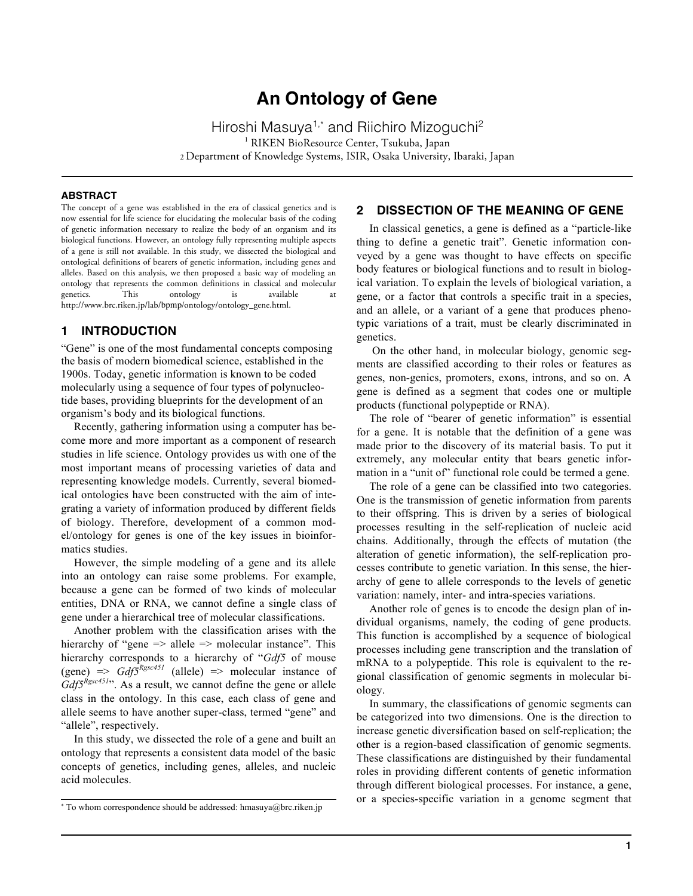# **An Ontology of Gene**

Hiroshi Masuya<sup>1,\*</sup> and Riichiro Mizoguchi<sup>2</sup> <sup>1</sup> RIKEN BioResource Center, Tsukuba, Japan 2 Department of Knowledge Systems, ISIR, Osaka University, Ibaraki, Japan

#### **ABSTRACT**

The concept of a gene was established in the era of classical genetics and is now essential for life science for elucidating the molecular basis of the coding of genetic information necessary to realize the body of an organism and its biological functions. However, an ontology fully representing multiple aspects of a gene is still not available. In this study, we dissected the biological and ontological definitions of bearers of genetic information, including genes and alleles. Based on this analysis, we then proposed a basic way of modeling an ontology that represents the common definitions in classical and molecular genetics. This ontology is available at http://www.brc.riken.jp/lab/bpmp/ontology/ontology\_gene.html.

### **1 INTRODUCTION**

"Gene" is one of the most fundamental concepts composing the basis of modern biomedical science, established in the 1900s. Today, genetic information is known to be coded molecularly using a sequence of four types of polynucleotide bases, providing blueprints for the development of an organism's body and its biological functions.

Recently, gathering information using a computer has become more and more important as a component of research studies in life science. Ontology provides us with one of the most important means of processing varieties of data and representing knowledge models. Currently, several biomedical ontologies have been constructed with the aim of integrating a variety of information produced by different fields of biology. Therefore, development of a common model/ontology for genes is one of the key issues in bioinformatics studies.

However, the simple modeling of a gene and its allele into an ontology can raise some problems. For example, because a gene can be formed of two kinds of molecular entities, DNA or RNA, we cannot define a single class of gene under a hierarchical tree of molecular classifications.

Another problem with the classification arises with the hierarchy of "gene => allele => molecular instance". This hierarchy corresponds to a hierarchy of "*Gdf5* of mouse (gene)  $\Rightarrow$  *Gdf5*<sup>*Rgsc451*</sup> (allele)  $\Rightarrow$  molecular instance of *Gdf5*<sup>*Rgsc451*". As a result, we cannot define the gene or allele</sup> class in the ontology. In this case, each class of gene and allele seems to have another super-class, termed "gene" and "allele", respectively.

In this study, we dissected the role of a gene and built an ontology that represents a consistent data model of the basic concepts of genetics, including genes, alleles, and nucleic acid molecules.

# **2 DISSECTION OF THE MEANING OF GENE**

In classical genetics, a gene is defined as a "particle-like thing to define a genetic trait". Genetic information conveyed by a gene was thought to have effects on specific body features or biological functions and to result in biological variation. To explain the levels of biological variation, a gene, or a factor that controls a specific trait in a species, and an allele, or a variant of a gene that produces phenotypic variations of a trait, must be clearly discriminated in genetics.

On the other hand, in molecular biology, genomic segments are classified according to their roles or features as genes, non-genics, promoters, exons, introns, and so on. A gene is defined as a segment that codes one or multiple products (functional polypeptide or RNA).

The role of "bearer of genetic information" is essential for a gene. It is notable that the definition of a gene was made prior to the discovery of its material basis. To put it extremely, any molecular entity that bears genetic information in a "unit of" functional role could be termed a gene.

The role of a gene can be classified into two categories. One is the transmission of genetic information from parents to their offspring. This is driven by a series of biological processes resulting in the self-replication of nucleic acid chains. Additionally, through the effects of mutation (the alteration of genetic information), the self-replication processes contribute to genetic variation. In this sense, the hierarchy of gene to allele corresponds to the levels of genetic variation: namely, inter- and intra-species variations.

Another role of genes is to encode the design plan of individual organisms, namely, the coding of gene products. This function is accomplished by a sequence of biological processes including gene transcription and the translation of mRNA to a polypeptide. This role is equivalent to the regional classification of genomic segments in molecular biology.

In summary, the classifications of genomic segments can be categorized into two dimensions. One is the direction to increase genetic diversification based on self-replication; the other is a region-based classification of genomic segments. These classifications are distinguished by their fundamental roles in providing different contents of genetic information through different biological processes. For instance, a gene, or a species-specific variation in a genome segment that

<sup>\*</sup> To whom correspondence should be addressed: hmasuya@brc.riken.jp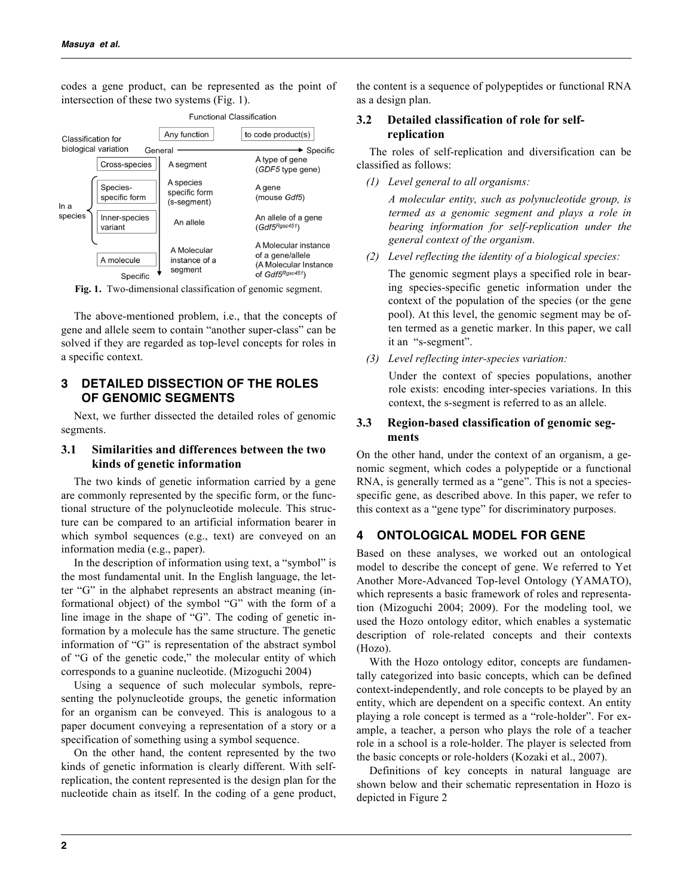codes a gene product, can be represented as the point of intersection of these two systems (Fig. 1).



**Fig. 1.** Two-dimensional classification of genomic segment.

The above-mentioned problem, i.e., that the concepts of gene and allele seem to contain "another super-class" can be solved if they are regarded as top-level concepts for roles in a specific context.

# **3 DETAILED DISSECTION OF THE ROLES OF GENOMIC SEGMENTS**

Next, we further dissected the detailed roles of genomic segments.

### **3.1 Similarities and differences between the two kinds of genetic information**

The two kinds of genetic information carried by a gene are commonly represented by the specific form, or the functional structure of the polynucleotide molecule. This structure can be compared to an artificial information bearer in which symbol sequences (e.g., text) are conveyed on an information media (e.g., paper).

In the description of information using text, a "symbol" is the most fundamental unit. In the English language, the letter "G" in the alphabet represents an abstract meaning (informational object) of the symbol "G" with the form of a line image in the shape of "G". The coding of genetic information by a molecule has the same structure. The genetic information of "G" is representation of the abstract symbol of "G of the genetic code," the molecular entity of which corresponds to a guanine nucleotide. (Mizoguchi 2004)

Using a sequence of such molecular symbols, representing the polynucleotide groups, the genetic information for an organism can be conveyed. This is analogous to a paper document conveying a representation of a story or a specification of something using a symbol sequence.

On the other hand, the content represented by the two kinds of genetic information is clearly different. With selfreplication, the content represented is the design plan for the nucleotide chain as itself. In the coding of a gene product, the content is a sequence of polypeptides or functional RNA as a design plan.

# **3.2 Detailed classification of role for selfreplication**

The roles of self-replication and diversification can be classified as follows:

*(1) Level general to all organisms:*

*A molecular entity, such as polynucleotide group, is termed as a genomic segment and plays a role in bearing information for self-replication under the general context of the organism.*

*(2) Level reflecting the identity of a biological species:*

The genomic segment plays a specified role in bearing species-specific genetic information under the context of the population of the species (or the gene pool). At this level, the genomic segment may be often termed as a genetic marker. In this paper, we call it an "s-segment".

*(3) Level reflecting inter-species variation:*

Under the context of species populations, another role exists: encoding inter-species variations. In this context, the s-segment is referred to as an allele.

# **3.3 Region-based classification of genomic segments**

On the other hand, under the context of an organism, a genomic segment, which codes a polypeptide or a functional RNA, is generally termed as a "gene". This is not a speciesspecific gene, as described above. In this paper, we refer to this context as a "gene type" for discriminatory purposes.

# **4 ONTOLOGICAL MODEL FOR GENE**

Based on these analyses, we worked out an ontological model to describe the concept of gene. We referred to Yet Another More-Advanced Top-level Ontology (YAMATO), which represents a basic framework of roles and representation (Mizoguchi 2004; 2009). For the modeling tool, we used the Hozo ontology editor, which enables a systematic description of role-related concepts and their contexts (Hozo).

With the Hozo ontology editor, concepts are fundamentally categorized into basic concepts, which can be defined context-independently, and role concepts to be played by an entity, which are dependent on a specific context. An entity playing a role concept is termed as a "role-holder". For example, a teacher, a person who plays the role of a teacher role in a school is a role-holder. The player is selected from the basic concepts or role-holders (Kozaki et al., 2007).

Definitions of key concepts in natural language are shown below and their schematic representation in Hozo is depicted in Figure 2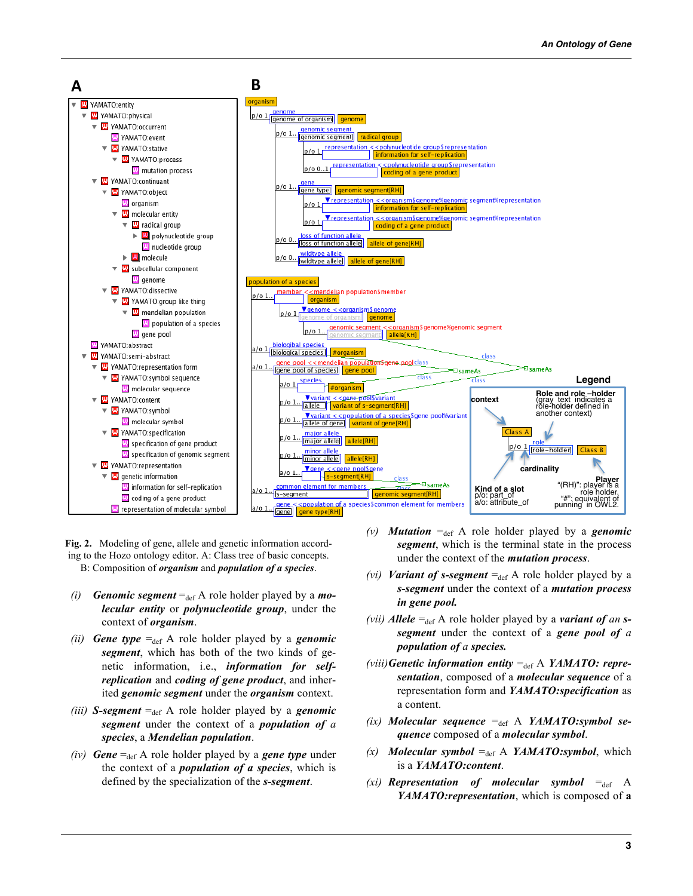

**Fig. 2.** Modeling of gene, allele and genetic information according to the Hozo ontology editor. A: Class tree of basic concepts. B: Composition of *organism* and *population of a species*.

- *(i) Genomic segment* =  $_{def}$  A role holder played by a *molecular entity* or *polynucleotide group*, under the context of *organism*.
- *(ii) Gene type*  $=_{def} A$  role holder played by a *genomic segment*, which has both of the two kinds of genetic information, i.e., *information for selfreplication* and *coding of gene product*, and inherited *genomic segment* under the *organism* context.
- *(iii) S-segment*  $=_{def} A$  role holder played by a *genomic segment* under the context of a *population of a species*, a *Mendelian population*.
- *(iv) Gene*  $=_{def} A$  role holder played by a *gene type* under the context of a *population of a species*, which is defined by the specialization of the *s-segment*.
- *(v) Mutation* =<sub>def</sub> A role holder played by a *genomic segment*, which is the terminal state in the process under the context of the *mutation process*.
- *(vi) Variant of s-segment*  $=_{def} A$  role holder played by a *s-segment* under the context of a *mutation process in gene pool.*
- *(vii) Allele*  $=_{def} A$  role holder played by a *variant of an ssegment* under the context of a *gene pool of a population of a species.*
- *(viii)* Genetic information entity  $=_{def} A$  *YAMATO: representation*, composed of a *molecular sequence* of a representation form and *YAMATO:specification* as a content.
- $(ix)$  *Molecular sequence*  $=_{def} A$  *YAMATO:symbol sequence* composed of a *molecular symbol*.
- $(x)$  *Molecular symbol* =  $_{def}$  A *YAMATO:symbol*, which is a *YAMATO:content*.
- *(xi) Representation of molecular symbol*  $=_{def} A$ *YAMATO:representation*, which is composed of **a**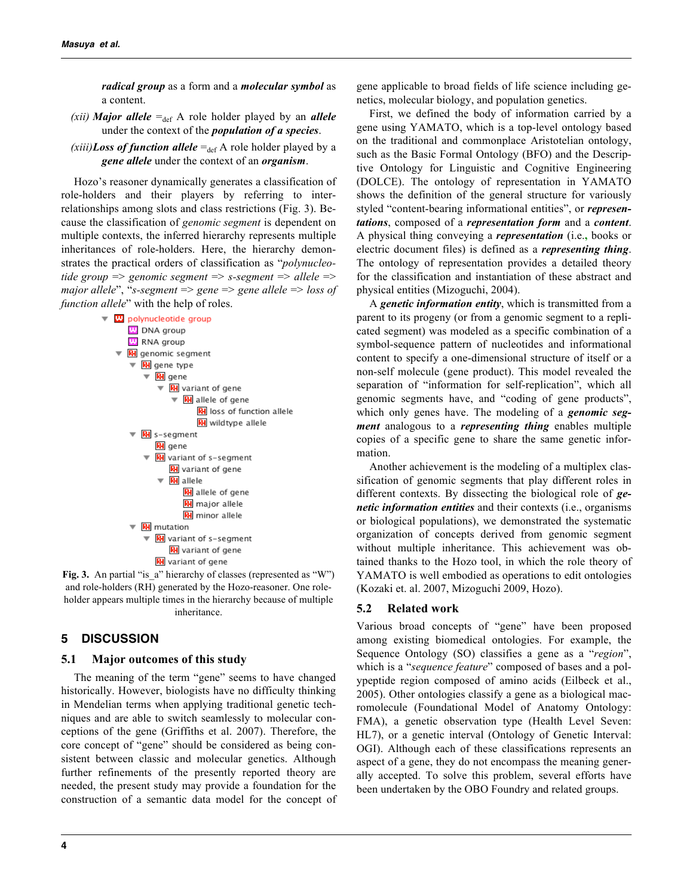*radical group* as a form and a *molecular symbol* as a content.

- *(xii) Major allele*  $=_{def} A$  role holder played by an *allele* under the context of the *population of a species*.
- *(xiii)Loss of function allele*  $=_{def} A$  role holder played by a *gene allele* under the context of an *organism*.

Hozo's reasoner dynamically generates a classification of role-holders and their players by referring to interrelationships among slots and class restrictions (Fig. 3). Because the classification of *genomic segment* is dependent on multiple contexts, the inferred hierarchy represents multiple inheritances of role-holders. Here, the hierarchy demonstrates the practical orders of classification as "*polynucleotide group* => *genomic segment* => *s-segment* => *allele* => *major allele*", "*s-segment* => *gene* => *gene allele* => *loss of function allele*" with the help of roles.



and role-holders (RH) generated by the Hozo-reasoner. One roleholder appears multiple times in the hierarchy because of multiple inheritance.

# **5 DISCUSSION**

### **5.1 Major outcomes of this study**

The meaning of the term "gene" seems to have changed historically. However, biologists have no difficulty thinking in Mendelian terms when applying traditional genetic techniques and are able to switch seamlessly to molecular conceptions of the gene (Griffiths et al. 2007). Therefore, the core concept of "gene" should be considered as being consistent between classic and molecular genetics. Although further refinements of the presently reported theory are needed, the present study may provide a foundation for the construction of a semantic data model for the concept of gene applicable to broad fields of life science including genetics, molecular biology, and population genetics.

First, we defined the body of information carried by a gene using YAMATO, which is a top-level ontology based on the traditional and commonplace Aristotelian ontology, such as the Basic Formal Ontology (BFO) and the Descriptive Ontology for Linguistic and Cognitive Engineering (DOLCE). The ontology of representation in YAMATO shows the definition of the general structure for variously styled "content-bearing informational entities", or *representations*, composed of a *representation form* and a *content*. A physical thing conveying a *representation* (i.e.**,** books or electric document files) is defined as a *representing thing*. The ontology of representation provides a detailed theory for the classification and instantiation of these abstract and physical entities (Mizoguchi, 2004).

A *genetic information entity*, which is transmitted from a parent to its progeny (or from a genomic segment to a replicated segment) was modeled as a specific combination of a symbol-sequence pattern of nucleotides and informational content to specify a one-dimensional structure of itself or a non-self molecule (gene product). This model revealed the separation of "information for self-replication", which all genomic segments have, and "coding of gene products", which only genes have. The modeling of a *genomic segment* analogous to a *representing thing* enables multiple copies of a specific gene to share the same genetic information.

Another achievement is the modeling of a multiplex classification of genomic segments that play different roles in different contexts. By dissecting the biological role of *genetic information entities* and their contexts (i.e., organisms or biological populations), we demonstrated the systematic organization of concepts derived from genomic segment without multiple inheritance. This achievement was obtained thanks to the Hozo tool, in which the role theory of YAMATO is well embodied as operations to edit ontologies (Kozaki et. al. 2007, Mizoguchi 2009, Hozo).

#### **5.2 Related work**

Various broad concepts of "gene" have been proposed among existing biomedical ontologies. For example, the Sequence Ontology (SO) classifies a gene as a "*region*", which is a "*sequence feature*" composed of bases and a polypeptide region composed of amino acids (Eilbeck et al., 2005). Other ontologies classify a gene as a biological macromolecule (Foundational Model of Anatomy Ontology: FMA), a genetic observation type (Health Level Seven: HL7), or a genetic interval (Ontology of Genetic Interval: OGI). Although each of these classifications represents an aspect of a gene, they do not encompass the meaning generally accepted. To solve this problem, several efforts have been undertaken by the OBO Foundry and related groups.